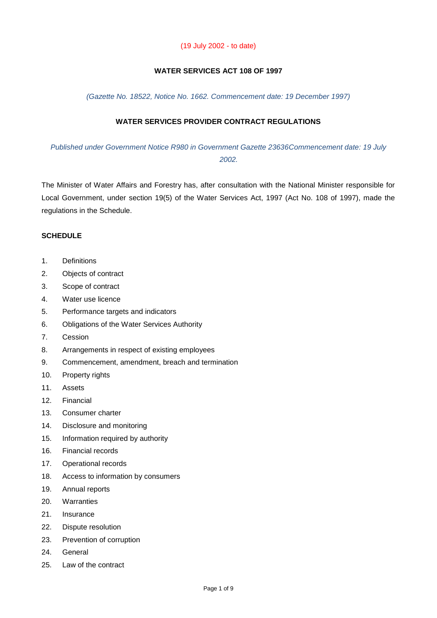#### (19 July 2002 - to date)

# **WATER SERVICES ACT 108 OF 1997**

*(Gazette No. 18522, Notice No. 1662. Commencement date: 19 December 1997)*

# **WATER SERVICES PROVIDER CONTRACT REGULATIONS**

*Published under Government Notice R980 in Government Gazette 23636Commencement date: 19 July 2002.*

The Minister of Water Affairs and Forestry has, after consultation with the National Minister responsible for Local Government, under section 19(5) of the Water Services Act, 1997 (Act No. 108 of 1997), made the regulations in the Schedule.

#### **SCHEDULE**

- 1. Definitions
- 2. Objects of contract
- 3. Scope of contract
- 4. Water use licence
- 5. Performance targets and indicators
- 6. Obligations of the Water Services Authority
- 7. Cession
- 8. Arrangements in respect of existing employees
- 9. Commencement, amendment, breach and termination
- 10. Property rights
- 11. Assets
- 12. Financial
- 13. Consumer charter
- 14. Disclosure and monitoring
- 15. Information required by authority
- 16. Financial records
- 17. Operational records
- 18. Access to information by consumers
- 19. Annual reports
- 20. Warranties
- 21. Insurance
- 22. Dispute resolution
- 23. Prevention of corruption
- 24. General
- 25. Law of the contract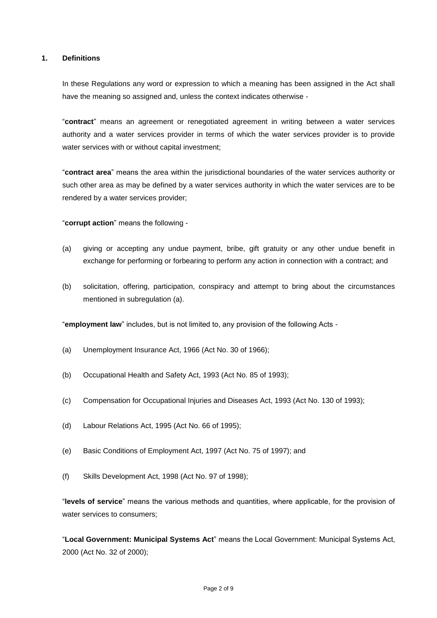# **1. Definitions**

In these Regulations any word or expression to which a meaning has been assigned in the Act shall have the meaning so assigned and, unless the context indicates otherwise -

"**contract**" means an agreement or renegotiated agreement in writing between a water services authority and a water services provider in terms of which the water services provider is to provide water services with or without capital investment;

"**contract area**" means the area within the jurisdictional boundaries of the water services authority or such other area as may be defined by a water services authority in which the water services are to be rendered by a water services provider;

"**corrupt action**" means the following -

- (a) giving or accepting any undue payment, bribe, gift gratuity or any other undue benefit in exchange for performing or forbearing to perform any action in connection with a contract; and
- (b) solicitation, offering, participation, conspiracy and attempt to bring about the circumstances mentioned in subregulation (a).

"**employment law**" includes, but is not limited to, any provision of the following Acts -

- (a) Unemployment Insurance Act, 1966 (Act No. 30 of 1966);
- (b) Occupational Health and Safety Act, 1993 (Act No. 85 of 1993);
- (c) Compensation for Occupational Injuries and Diseases Act, 1993 (Act No. 130 of 1993);
- (d) Labour Relations Act, 1995 (Act No. 66 of 1995);
- (e) Basic Conditions of Employment Act, 1997 (Act No. 75 of 1997); and
- (f) Skills Development Act, 1998 (Act No. 97 of 1998);

"**levels of service**" means the various methods and quantities, where applicable, for the provision of water services to consumers;

"**Local Government: Municipal Systems Act**" means the Local Government: Municipal Systems Act, 2000 (Act No. 32 of 2000);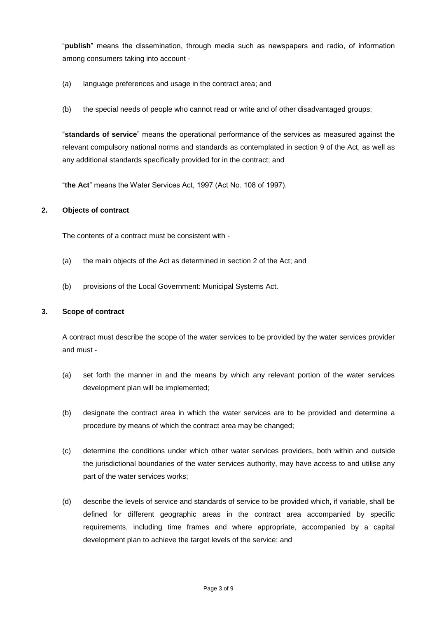"**publish**" means the dissemination, through media such as newspapers and radio, of information among consumers taking into account -

- (a) language preferences and usage in the contract area; and
- (b) the special needs of people who cannot read or write and of other disadvantaged groups;

"**standards of service**" means the operational performance of the services as measured against the relevant compulsory national norms and standards as contemplated in section 9 of the Act, as well as any additional standards specifically provided for in the contract; and

"**the Act**" means the Water Services Act, 1997 (Act No. 108 of 1997).

## **2. Objects of contract**

The contents of a contract must be consistent with -

- (a) the main objects of the Act as determined in section 2 of the Act; and
- (b) provisions of the Local Government: Municipal Systems Act.

#### **3. Scope of contract**

A contract must describe the scope of the water services to be provided by the water services provider and must -

- (a) set forth the manner in and the means by which any relevant portion of the water services development plan will be implemented;
- (b) designate the contract area in which the water services are to be provided and determine a procedure by means of which the contract area may be changed;
- (c) determine the conditions under which other water services providers, both within and outside the jurisdictional boundaries of the water services authority, may have access to and utilise any part of the water services works;
- (d) describe the levels of service and standards of service to be provided which, if variable, shall be defined for different geographic areas in the contract area accompanied by specific requirements, including time frames and where appropriate, accompanied by a capital development plan to achieve the target levels of the service; and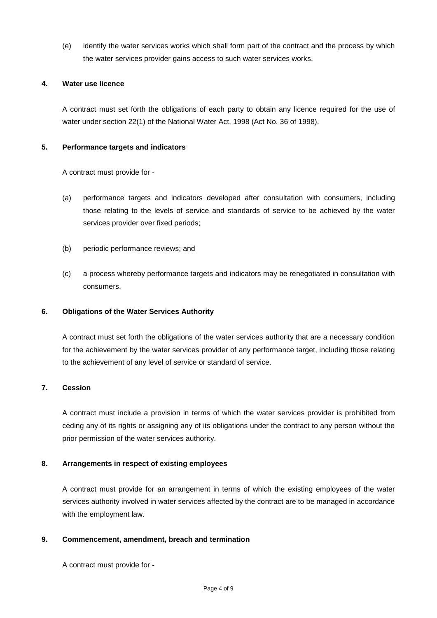(e) identify the water services works which shall form part of the contract and the process by which the water services provider gains access to such water services works.

## **4. Water use licence**

A contract must set forth the obligations of each party to obtain any licence required for the use of water under section 22(1) of the National Water Act, 1998 (Act No. 36 of 1998).

# **5. Performance targets and indicators**

A contract must provide for -

- (a) performance targets and indicators developed after consultation with consumers, including those relating to the levels of service and standards of service to be achieved by the water services provider over fixed periods;
- (b) periodic performance reviews; and
- (c) a process whereby performance targets and indicators may be renegotiated in consultation with consumers.

# **6. Obligations of the Water Services Authority**

A contract must set forth the obligations of the water services authority that are a necessary condition for the achievement by the water services provider of any performance target, including those relating to the achievement of any level of service or standard of service.

## **7. Cession**

A contract must include a provision in terms of which the water services provider is prohibited from ceding any of its rights or assigning any of its obligations under the contract to any person without the prior permission of the water services authority.

## **8. Arrangements in respect of existing employees**

A contract must provide for an arrangement in terms of which the existing employees of the water services authority involved in water services affected by the contract are to be managed in accordance with the employment law.

## **9. Commencement, amendment, breach and termination**

A contract must provide for -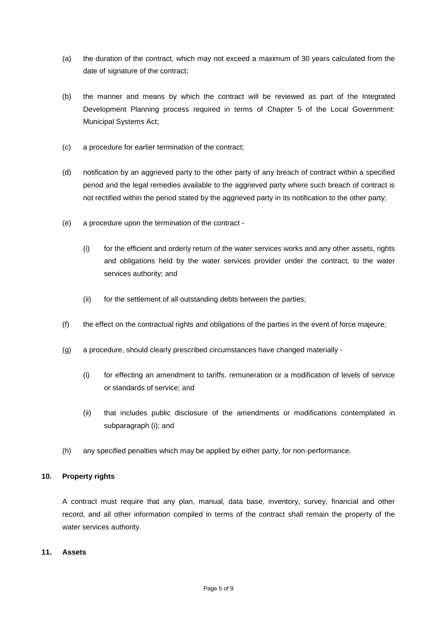- (a) the duration of the contract, which may not exceed a maximum of 30 years calculated from the date of signature of the contract;
- (b) the manner and means by which the contract will be reviewed as part of the Integrated Development Planning process required in terms of Chapter 5 of the Local Government: Municipal Systems Act;
- (c) a procedure for earlier termination of the contract;
- (d) notification by an aggrieved party to the other party of any breach of contract within a specified period and the legal remedies available to the aggrieved party where such breach of contract is not rectified within the period stated by the aggrieved party in its notification to the other party;
- (e) a procedure upon the termination of the contract
	- (i) for the efficient and orderly return of the water services works and any other assets, rights and obligations held by the water services provider under the contract, to the water services authority; and
	- (ii) for the settlement of all outstanding debts between the parties;
- (f) the effect on the contractual rights and obligations of the parties in the event of force majeure;
- (g) a procedure, should clearly prescribed circumstances have changed materially
	- (i) for effecting an amendment to tariffs, remuneration or a modification of levels of service or standards of service; and
	- (ii) that includes public disclosure of the amendments or modifications contemplated in subparagraph (i); and
- (h) any specified penalties which may be applied by either party, for non-performance.

## **10. Property rights**

A contract must require that any plan, manual, data base, inventory, survey, financial and other record, and all other information compiled in terms of the contract shall remain the property of the water services authority.

#### **11. Assets**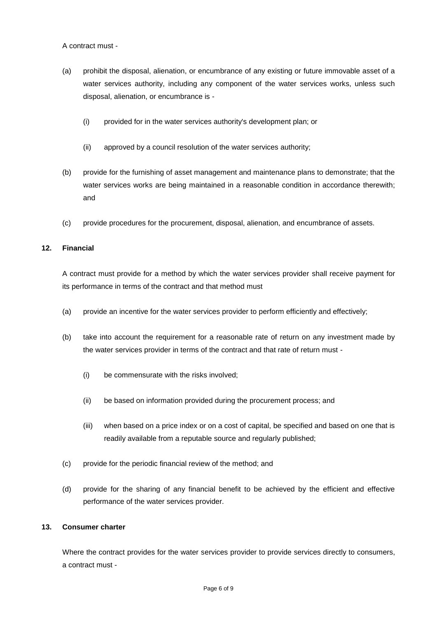A contract must -

- (a) prohibit the disposal, alienation, or encumbrance of any existing or future immovable asset of a water services authority, including any component of the water services works, unless such disposal, alienation, or encumbrance is -
	- (i) provided for in the water services authority's development plan; or
	- (ii) approved by a council resolution of the water services authority;
- (b) provide for the furnishing of asset management and maintenance plans to demonstrate; that the water services works are being maintained in a reasonable condition in accordance therewith; and
- (c) provide procedures for the procurement, disposal, alienation, and encumbrance of assets.

# **12. Financial**

A contract must provide for a method by which the water services provider shall receive payment for its performance in terms of the contract and that method must

- (a) provide an incentive for the water services provider to perform efficiently and effectively;
- (b) take into account the requirement for a reasonable rate of return on any investment made by the water services provider in terms of the contract and that rate of return must -
	- (i) be commensurate with the risks involved;
	- (ii) be based on information provided during the procurement process; and
	- (iii) when based on a price index or on a cost of capital, be specified and based on one that is readily available from a reputable source and regularly published;
- (c) provide for the periodic financial review of the method; and
- (d) provide for the sharing of any financial benefit to be achieved by the efficient and effective performance of the water services provider.

# **13. Consumer charter**

Where the contract provides for the water services provider to provide services directly to consumers, a contract must -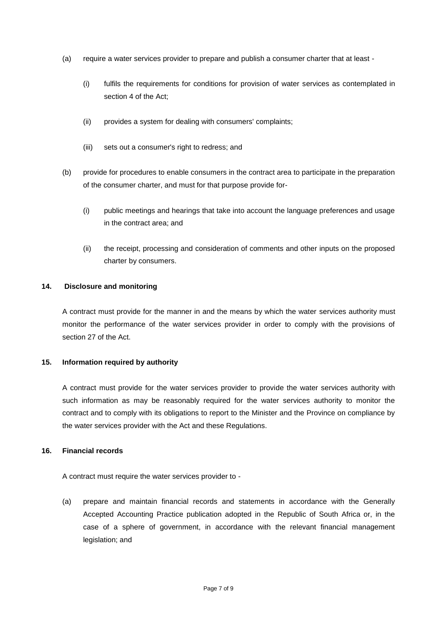- (a) require a water services provider to prepare and publish a consumer charter that at least
	- (i) fulfils the requirements for conditions for provision of water services as contemplated in section 4 of the Act;
	- (ii) provides a system for dealing with consumers' complaints;
	- (iii) sets out a consumer's right to redress; and
- (b) provide for procedures to enable consumers in the contract area to participate in the preparation of the consumer charter, and must for that purpose provide for-
	- (i) public meetings and hearings that take into account the language preferences and usage in the contract area; and
	- (ii) the receipt, processing and consideration of comments and other inputs on the proposed charter by consumers.

## **14. Disclosure and monitoring**

A contract must provide for the manner in and the means by which the water services authority must monitor the performance of the water services provider in order to comply with the provisions of section 27 of the Act.

## **15. Information required by authority**

A contract must provide for the water services provider to provide the water services authority with such information as may be reasonably required for the water services authority to monitor the contract and to comply with its obligations to report to the Minister and the Province on compliance by the water services provider with the Act and these Regulations.

## **16. Financial records**

A contract must require the water services provider to -

(a) prepare and maintain financial records and statements in accordance with the Generally Accepted Accounting Practice publication adopted in the Republic of South Africa or, in the case of a sphere of government, in accordance with the relevant financial management legislation; and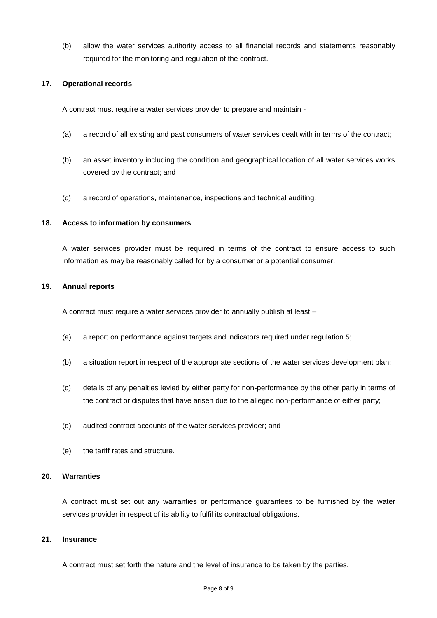(b) allow the water services authority access to all financial records and statements reasonably required for the monitoring and regulation of the contract.

#### **17. Operational records**

A contract must require a water services provider to prepare and maintain -

- (a) a record of all existing and past consumers of water services dealt with in terms of the contract;
- (b) an asset inventory including the condition and geographical location of all water services works covered by the contract; and
- (c) a record of operations, maintenance, inspections and technical auditing.

#### **18. Access to information by consumers**

A water services provider must be required in terms of the contract to ensure access to such information as may be reasonably called for by a consumer or a potential consumer.

#### **19. Annual reports**

A contract must require a water services provider to annually publish at least –

- (a) a report on performance against targets and indicators required under regulation 5;
- (b) a situation report in respect of the appropriate sections of the water services development plan;
- (c) details of any penalties levied by either party for non-performance by the other party in terms of the contract or disputes that have arisen due to the alleged non-performance of either party;
- (d) audited contract accounts of the water services provider; and
- (e) the tariff rates and structure.

#### **20. Warranties**

A contract must set out any warranties or performance guarantees to be furnished by the water services provider in respect of its ability to fulfil its contractual obligations.

#### **21. Insurance**

A contract must set forth the nature and the level of insurance to be taken by the parties.